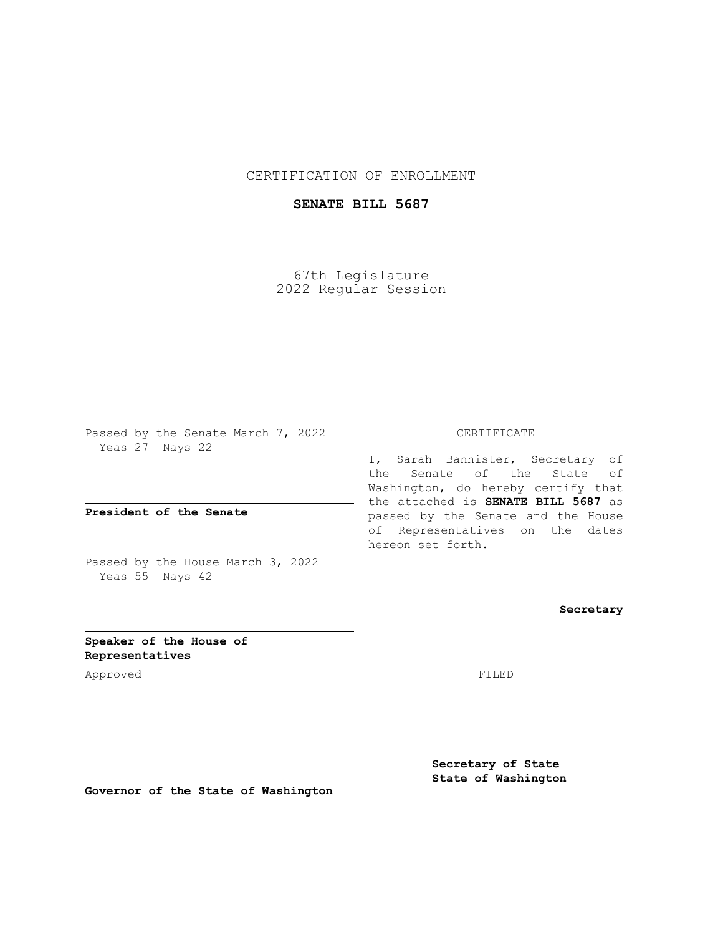## CERTIFICATION OF ENROLLMENT

## **SENATE BILL 5687**

67th Legislature 2022 Regular Session

Passed by the Senate March 7, 2022 Yeas 27 Nays 22

**President of the Senate**

Passed by the House March 3, 2022 Yeas 55 Nays 42

CERTIFICATE

I, Sarah Bannister, Secretary of the Senate of the State of Washington, do hereby certify that the attached is **SENATE BILL 5687** as passed by the Senate and the House of Representatives on the dates hereon set forth.

**Secretary**

**Speaker of the House of Representatives**

Approved FILED

**Secretary of State State of Washington**

**Governor of the State of Washington**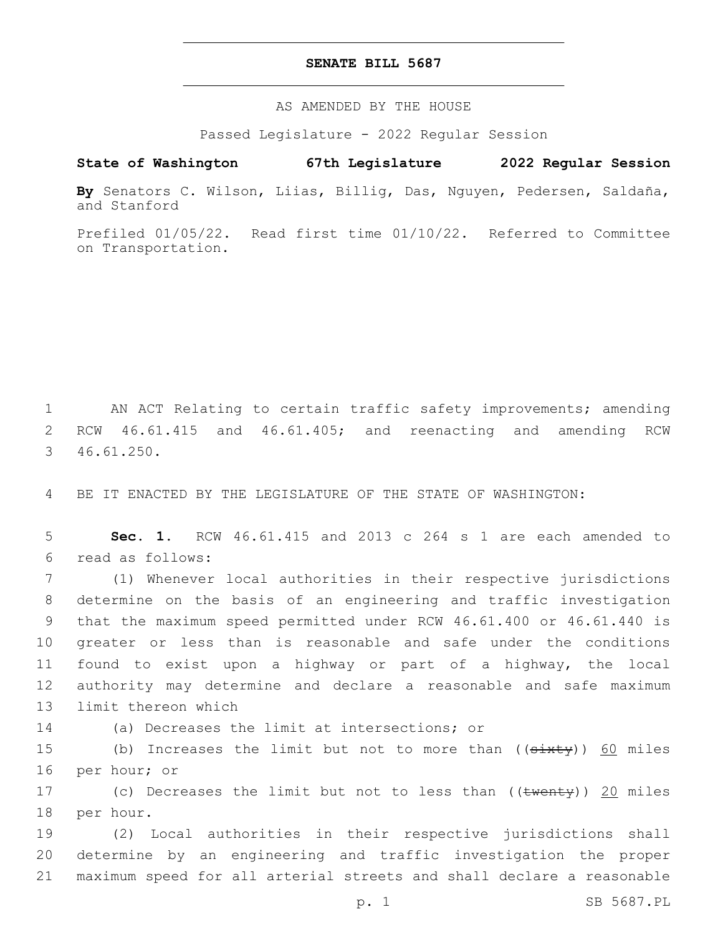## **SENATE BILL 5687**

AS AMENDED BY THE HOUSE

Passed Legislature - 2022 Regular Session

## **State of Washington 67th Legislature 2022 Regular Session**

**By** Senators C. Wilson, Liias, Billig, Das, Nguyen, Pedersen, Saldaña, and Stanford

Prefiled 01/05/22. Read first time 01/10/22. Referred to Committee on Transportation.

1 AN ACT Relating to certain traffic safety improvements; amending 2 RCW 46.61.415 and 46.61.405; and reenacting and amending RCW 46.61.250.3

4 BE IT ENACTED BY THE LEGISLATURE OF THE STATE OF WASHINGTON:

5 **Sec. 1.** RCW 46.61.415 and 2013 c 264 s 1 are each amended to read as follows:6

 (1) Whenever local authorities in their respective jurisdictions determine on the basis of an engineering and traffic investigation that the maximum speed permitted under RCW 46.61.400 or 46.61.440 is greater or less than is reasonable and safe under the conditions found to exist upon a highway or part of a highway, the local authority may determine and declare a reasonable and safe maximum 13 limit thereon which

14 (a) Decreases the limit at intersections; or

15 (b) Increases the limit but not to more than ((sixty)) 60 miles 16 per hour; or

17 (c) Decreases the limit but not to less than ((twenty)) 20 miles 18 per hour.

19 (2) Local authorities in their respective jurisdictions shall 20 determine by an engineering and traffic investigation the proper 21 maximum speed for all arterial streets and shall declare a reasonable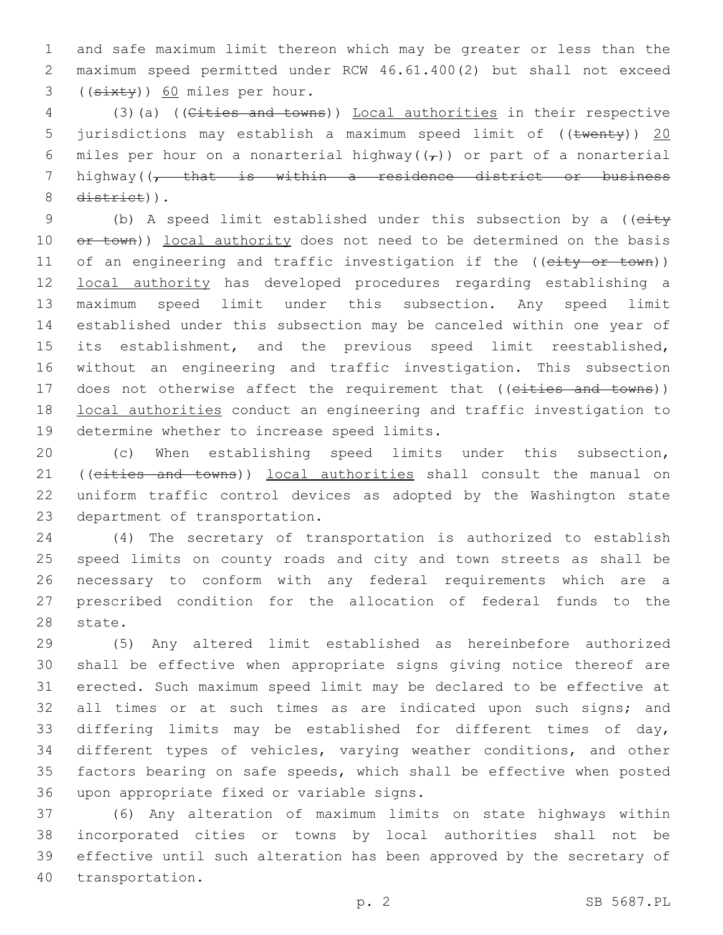and safe maximum limit thereon which may be greater or less than the maximum speed permitted under RCW 46.61.400(2) but shall not exceed (( $\frac{3x+y}{50}$  miles per hour.

 (3)(a) ((Cities and towns)) Local authorities in their respective 5 jurisdictions may establish a maximum speed limit of ((twenty)) 20 6 miles per hour on a nonarterial highway( $(\tau)$ ) or part of a nonarterial highway((, that is within a residence district or business 8 district)).

9 (b) A speed limit established under this subsection by a ((eity 10 or town)) local authority does not need to be determined on the basis 11 of an engineering and traffic investigation if the ((city or town)) local authority has developed procedures regarding establishing a maximum speed limit under this subsection. Any speed limit established under this subsection may be canceled within one year of its establishment, and the previous speed limit reestablished, without an engineering and traffic investigation. This subsection 17 does not otherwise affect the requirement that ((eities and towns)) local authorities conduct an engineering and traffic investigation to 19 determine whether to increase speed limits.

 (c) When establishing speed limits under this subsection, 21 ((cities and towns)) local authorities shall consult the manual on uniform traffic control devices as adopted by the Washington state 23 department of transportation.

 (4) The secretary of transportation is authorized to establish speed limits on county roads and city and town streets as shall be necessary to conform with any federal requirements which are a prescribed condition for the allocation of federal funds to the 28 state.

 (5) Any altered limit established as hereinbefore authorized shall be effective when appropriate signs giving notice thereof are erected. Such maximum speed limit may be declared to be effective at 32 all times or at such times as are indicated upon such signs; and differing limits may be established for different times of day, different types of vehicles, varying weather conditions, and other factors bearing on safe speeds, which shall be effective when posted 36 upon appropriate fixed or variable signs.

 (6) Any alteration of maximum limits on state highways within incorporated cities or towns by local authorities shall not be effective until such alteration has been approved by the secretary of 40 transportation.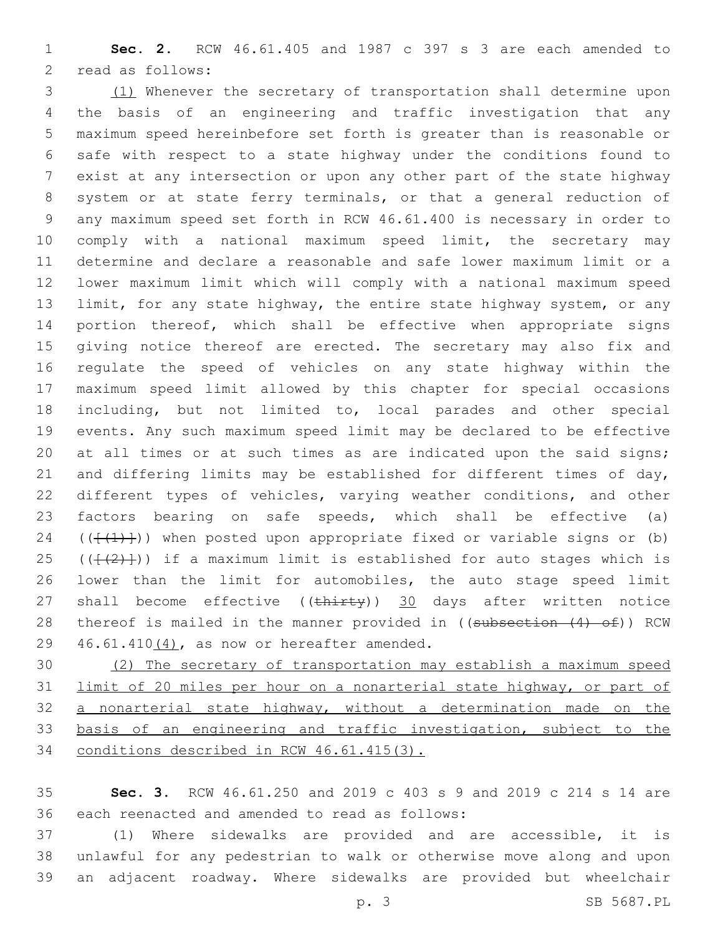**Sec. 2.** RCW 46.61.405 and 1987 c 397 s 3 are each amended to 2 read as follows:

 (1) Whenever the secretary of transportation shall determine upon the basis of an engineering and traffic investigation that any maximum speed hereinbefore set forth is greater than is reasonable or safe with respect to a state highway under the conditions found to exist at any intersection or upon any other part of the state highway system or at state ferry terminals, or that a general reduction of any maximum speed set forth in RCW 46.61.400 is necessary in order to comply with a national maximum speed limit, the secretary may determine and declare a reasonable and safe lower maximum limit or a lower maximum limit which will comply with a national maximum speed limit, for any state highway, the entire state highway system, or any portion thereof, which shall be effective when appropriate signs 15 giving notice thereof are erected. The secretary may also fix and regulate the speed of vehicles on any state highway within the maximum speed limit allowed by this chapter for special occasions including, but not limited to, local parades and other special events. Any such maximum speed limit may be declared to be effective 20 at all times or at such times as are indicated upon the said signs; 21 and differing limits may be established for different times of day, different types of vehicles, varying weather conditions, and other factors bearing on safe speeds, which shall be effective (a) 24 ( $(\{\{\{\}\})$ ) when posted upon appropriate fixed or variable signs or (b) 25 ( $(\{\{\{2\}\})$ ) if a maximum limit is established for auto stages which is lower than the limit for automobiles, the auto stage speed limit 27 shall become effective ((thirty)) 30 days after written notice 28 thereof is mailed in the manner provided in ((subsection (4) of)) RCW 46.61.410 $(4)$ , as now or hereafter amended.

 (2) The secretary of transportation may establish a maximum speed limit of 20 miles per hour on a nonarterial state highway, or part of a nonarterial state highway, without a determination made on the basis of an engineering and traffic investigation, subject to the conditions described in RCW 46.61.415(3).

 **Sec. 3.** RCW 46.61.250 and 2019 c 403 s 9 and 2019 c 214 s 14 are 36 each reenacted and amended to read as follows:

 (1) Where sidewalks are provided and are accessible, it is unlawful for any pedestrian to walk or otherwise move along and upon an adjacent roadway. Where sidewalks are provided but wheelchair